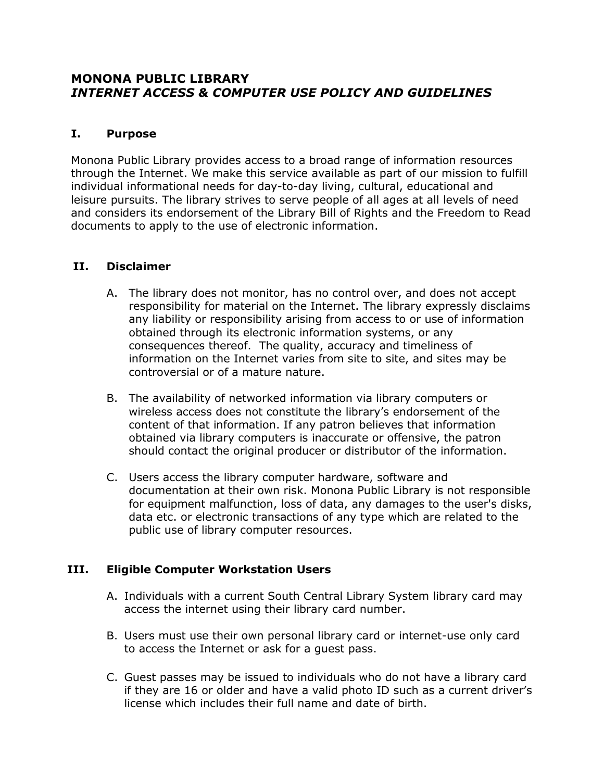# **MONONA PUBLIC LIBRARY** *INTERNET ACCESS & COMPUTER USE POLICY AND GUIDELINES*

## **I. Purpose**

Monona Public Library provides access to a broad range of information resources through the Internet. We make this service available as part of our mission to fulfill individual informational needs for day-to-day living, cultural, educational and leisure pursuits. The library strives to serve people of all ages at all levels of need and considers its endorsement of the Library Bill of Rights and the Freedom to Read documents to apply to the use of electronic information.

## **II. Disclaimer**

- A. The library does not monitor, has no control over, and does not accept responsibility for material on the Internet. The library expressly disclaims any liability or responsibility arising from access to or use of information obtained through its electronic information systems, or any consequences thereof. The quality, accuracy and timeliness of information on the Internet varies from site to site, and sites may be controversial or of a mature nature.
- B. The availability of networked information via library computers or wireless access does not constitute the library's endorsement of the content of that information. If any patron believes that information obtained via library computers is inaccurate or offensive, the patron should contact the original producer or distributor of the information.
- C. Users access the library computer hardware, software and documentation at their own risk. Monona Public Library is not responsible for equipment malfunction, loss of data, any damages to the user's disks, data etc. or electronic transactions of any type which are related to the public use of library computer resources.

## **III. Eligible Computer Workstation Users**

- A. Individuals with a current South Central Library System library card may access the internet using their library card number.
- B. Users must use their own personal library card or internet-use only card to access the Internet or ask for a guest pass.
- C. Guest passes may be issued to individuals who do not have a library card if they are 16 or older and have a valid photo ID such as a current driver's license which includes their full name and date of birth.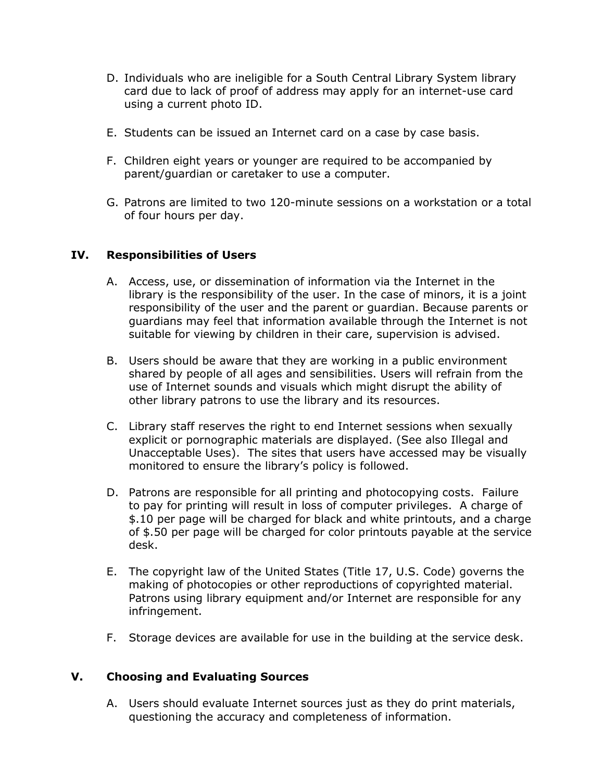- D. Individuals who are ineligible for a South Central Library System library card due to lack of proof of address may apply for an internet-use card using a current photo ID.
- E. Students can be issued an Internet card on a case by case basis.
- F. Children eight years or younger are required to be accompanied by parent/guardian or caretaker to use a computer.
- G. Patrons are limited to two 120-minute sessions on a workstation or a total of four hours per day.

## **IV. Responsibilities of Users**

- A. Access, use, or dissemination of information via the Internet in the library is the responsibility of the user. In the case of minors, it is a joint responsibility of the user and the parent or guardian. Because parents or guardians may feel that information available through the Internet is not suitable for viewing by children in their care, supervision is advised.
- B. Users should be aware that they are working in a public environment shared by people of all ages and sensibilities. Users will refrain from the use of Internet sounds and visuals which might disrupt the ability of other library patrons to use the library and its resources.
- C. Library staff reserves the right to end Internet sessions when sexually explicit or pornographic materials are displayed. (See also Illegal and Unacceptable Uses). The sites that users have accessed may be visually monitored to ensure the library's policy is followed.
- D. Patrons are responsible for all printing and photocopying costs. Failure to pay for printing will result in loss of computer privileges. A charge of \$.10 per page will be charged for black and white printouts, and a charge of \$.50 per page will be charged for color printouts payable at the service desk.
- E. The copyright law of the United States (Title 17, U.S. Code) governs the making of photocopies or other reproductions of copyrighted material. Patrons using library equipment and/or Internet are responsible for any infringement.
- F. Storage devices are available for use in the building at the service desk.

## **V. Choosing and Evaluating Sources**

A. Users should evaluate Internet sources just as they do print materials, questioning the accuracy and completeness of information.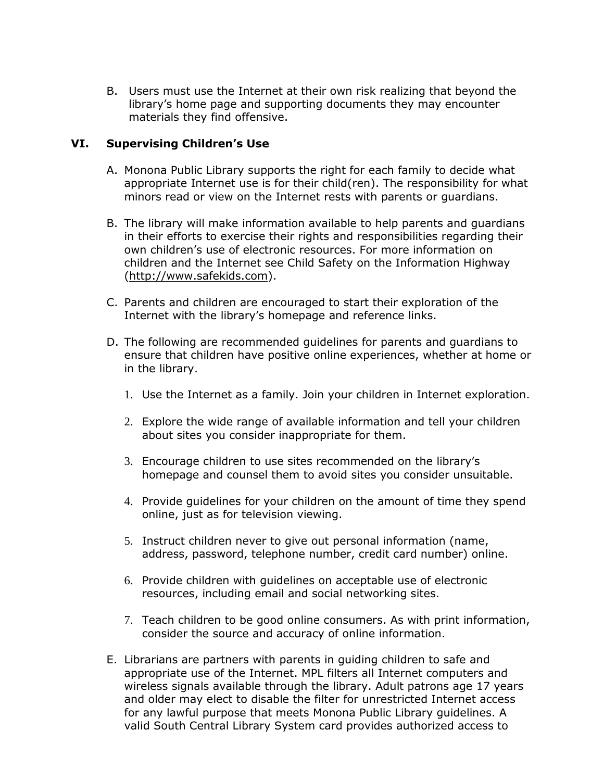B. Users must use the Internet at their own risk realizing that beyond the library's home page and supporting documents they may encounter materials they find offensive.

## **VI. Supervising Children's Use**

- A. Monona Public Library supports the right for each family to decide what appropriate Internet use is for their child(ren). The responsibility for what minors read or view on the Internet rests with parents or guardians.
- B. The library will make information available to help parents and guardians in their efforts to exercise their rights and responsibilities regarding their own children's use of electronic resources. For more information on children and the Internet see Child Safety on the Information Highway [\(http://www.safekids.com\)](http://www.safekids.com/child_safety.htm).
- C. Parents and children are encouraged to start their exploration of the Internet with the library's homepage and reference links.
- D. The following are recommended guidelines for parents and guardians to ensure that children have positive online experiences, whether at home or in the library.
	- 1. Use the Internet as a family. Join your children in Internet exploration.
	- 2. Explore the wide range of available information and tell your children about sites you consider inappropriate for them.
	- 3. Encourage children to use sites recommended on the library's homepage and counsel them to avoid sites you consider unsuitable.
	- 4. Provide guidelines for your children on the amount of time they spend online, just as for television viewing.
	- 5. Instruct children never to give out personal information (name, address, password, telephone number, credit card number) online.
	- 6. Provide children with guidelines on acceptable use of electronic resources, including email and social networking sites.
	- 7. Teach children to be good online consumers. As with print information, consider the source and accuracy of online information.
- E. Librarians are partners with parents in guiding children to safe and appropriate use of the Internet. MPL filters all Internet computers and wireless signals available through the library. Adult patrons age 17 years and older may elect to disable the filter for unrestricted Internet access for any lawful purpose that meets Monona Public Library guidelines. A valid South Central Library System card provides authorized access to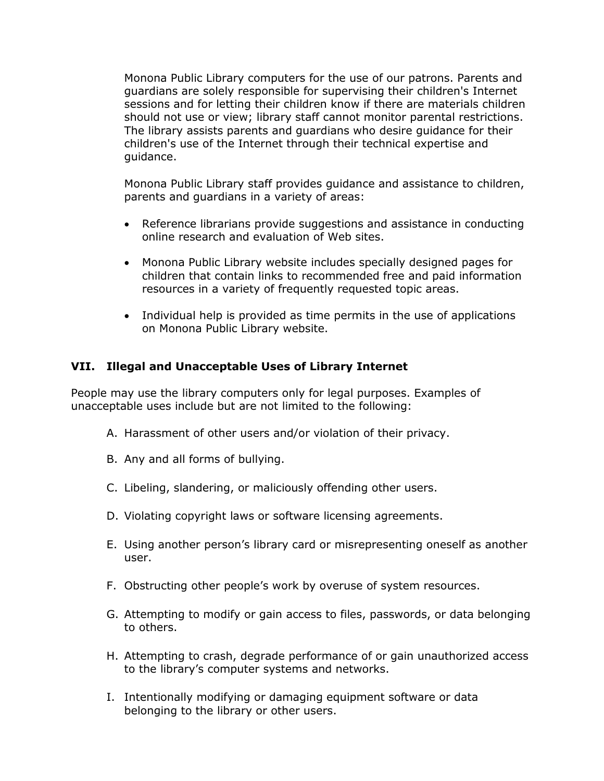Monona Public Library computers for the use of our patrons. Parents and guardians are solely responsible for supervising their children's Internet sessions and for letting their children know if there are materials children should not use or view; library staff cannot monitor parental restrictions. The library assists parents and guardians who desire guidance for their children's use of the Internet through their technical expertise and guidance.

Monona Public Library staff provides guidance and assistance to children, parents and guardians in a variety of areas:

- Reference librarians provide suggestions and assistance in conducting online research and evaluation of Web sites.
- Monona Public Library website includes specially designed pages for children that contain links to recommended free and paid information resources in a variety of frequently requested topic areas.
- Individual help is provided as time permits in the use of applications on Monona Public Library website.

### **VII. Illegal and Unacceptable Uses of Library Internet**

People may use the library computers only for legal purposes. Examples of unacceptable uses include but are not limited to the following:

- A. Harassment of other users and/or violation of their privacy.
- B. Any and all forms of bullying.
- C. Libeling, slandering, or maliciously offending other users.
- D. Violating copyright laws or software licensing agreements.
- E. Using another person's library card or misrepresenting oneself as another user.
- F. Obstructing other people's work by overuse of system resources.
- G. Attempting to modify or gain access to files, passwords, or data belonging to others.
- H. Attempting to crash, degrade performance of or gain unauthorized access to the library's computer systems and networks.
- I. Intentionally modifying or damaging equipment software or data belonging to the library or other users.